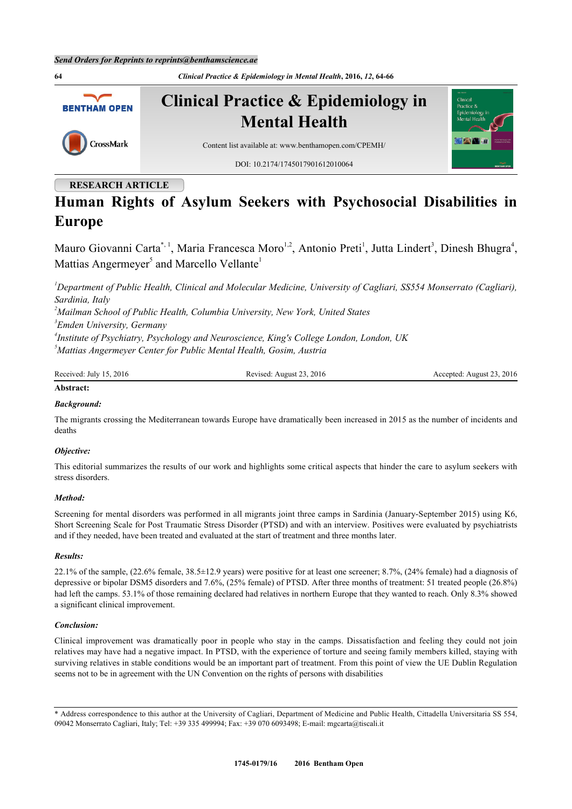

# **RESEARCH ARTICLE**

# **Human Rights of Asylum Seekers with Psychosocial Disabilities in Europe**

Mauro Giovanni Carta<sup>[\\*,](#page-0-0) [1](#page-0-1)</sup>, Maria Francesca Moro<sup>[1](#page-0-1),[2](#page-0-2)</sup>, Antonio Preti<sup>1</sup>, Jutta Lindert<sup>[3](#page-0-3)</sup>, Dinesh Bhugra<sup>[4](#page-0-4)</sup>, Mattias Angermeyer<sup>[5](#page-0-5)</sup> and Marcello Vellante<sup>[1](#page-0-1)</sup>

<span id="page-0-1"></span>*<sup>1</sup>Department of Public Health, Clinical and Molecular Medicine, University of Cagliari, SS554 Monserrato (Cagliari), Sardinia, Italy*

<span id="page-0-2"></span>*<sup>2</sup>Mailman School of Public Health, Columbia University, New York, United States*

<span id="page-0-3"></span>*3 Emden University, Germany*

<span id="page-0-4"></span>*4 Institute of Psychiatry, Psychology and Neuroscience, King's College London, London, UK*

<span id="page-0-5"></span>*<sup>5</sup>Mattias Angermeyer Center for Public Mental Health, Gosim, Austria*

Received: July 15, 2016 Revised: August 23, 2016 Revised: August 23, 2016 Accepted: August 23, 2016

# **Abstract:**

# *Background:*

The migrants crossing the Mediterranean towards Europe have dramatically been increased in 2015 as the number of incidents and deaths

# *Objective:*

This editorial summarizes the results of our work and highlights some critical aspects that hinder the care to asylum seekers with stress disorders.

# *Method:*

Screening for mental disorders was performed in all migrants joint three camps in Sardinia (January-September 2015) using K6, Short Screening Scale for Post Traumatic Stress Disorder (PTSD) and with an interview. Positives were evaluated by psychiatrists and if they needed, have been treated and evaluated at the start of treatment and three months later.

# *Results:*

22.1% of the sample, (22.6% female, 38.5±12.9 years) were positive for at least one screener; 8.7%, (24% female) had a diagnosis of depressive or bipolar DSM5 disorders and 7.6%, (25% female) of PTSD. After three months of treatment: 51 treated people (26.8%) had left the camps. 53.1% of those remaining declared had relatives in northern Europe that they wanted to reach. Only 8.3% showed a significant clinical improvement.

# *Conclusion:*

Clinical improvement was dramatically poor in people who stay in the camps. Dissatisfaction and feeling they could not join relatives may have had a negative impact. In PTSD, with the experience of torture and seeing family members killed, staying with surviving relatives in stable conditions would be an important part of treatment. From this point of view the UE Dublin Regulation seems not to be in agreement with the UN Convention on the rights of persons with disabilities

<span id="page-0-0"></span><sup>\*</sup> Address correspondence to this author at the University of Cagliari, Department of Medicine and Public Health, Cittadella Universitaria SS 554, 09042 Monserrato Cagliari, Italy; Tel: +39 335 499994; Fax: +39 070 6093498; E-mail: [mgcarta@tiscali.it](mailto:mgcarta@tiscali.it)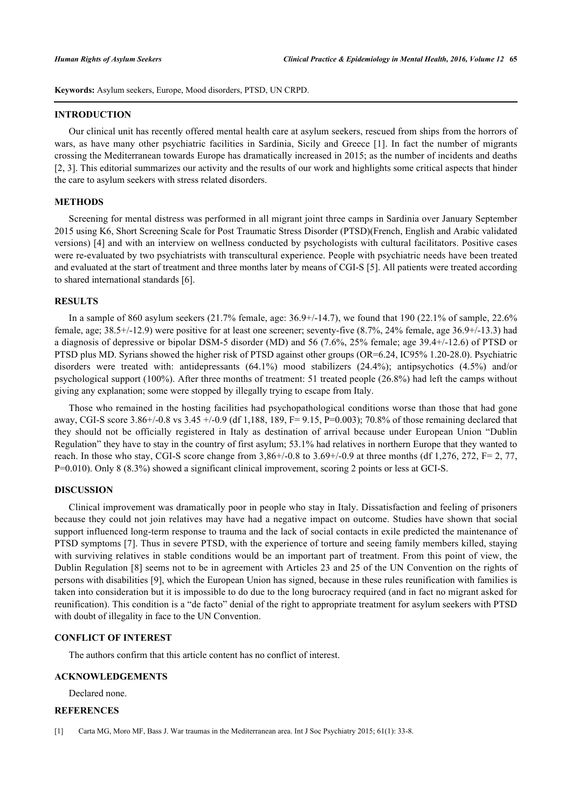**Keywords:** Asylum seekers, Europe, Mood disorders, PTSD, UN CRPD.

#### **INTRODUCTION**

Our clinical unit has recently offered mental health care at asylum seekers, rescued from ships from the horrors of wars, as have many other psychiatric facilities in Sardinia, Sicily and Greece [\[1\]](#page-1-0). In fact the number of migrants crossing the Mediterranean towards Europe has dramatically increased in 2015; as the number of incidents and deaths [\[2](#page-2-0), [3](#page-2-1)]. This editorial summarizes our activity and the results of our work and highlights some critical aspects that hinder the care to asylum seekers with stress related disorders.

#### **METHODS**

Screening for mental distress was performed in all migrant joint three camps in Sardinia over January September 2015 using K6, Short Screening Scale for Post Traumatic Stress Disorder (PTSD)(French, English and Arabic validated versions) [[4\]](#page-2-2) and with an interview on wellness conducted by psychologists with cultural facilitators. Positive cases were re-evaluated by two psychiatrists with transcultural experience. People with psychiatric needs have been treated and evaluated at the start of treatment and three months later by means of CGI-S [\[5](#page-2-3)]. All patients were treated according to shared international standards [\[6](#page-2-4)].

#### **RESULTS**

In a sample of 860 asylum seekers (21.7% female, age: 36.9+/-14.7), we found that 190 (22.1% of sample, 22.6% female, age; 38.5+/-12.9) were positive for at least one screener; seventy-five (8.7%, 24% female, age 36.9+/-13.3) had a diagnosis of depressive or bipolar DSM-5 disorder (MD) and 56 (7.6%, 25% female; age 39.4+/-12.6) of PTSD or PTSD plus MD. Syrians showed the higher risk of PTSD against other groups (OR=6.24, IC95% 1.20-28.0). Psychiatric disorders were treated with: antidepressants (64.1%) mood stabilizers (24.4%); antipsychotics (4.5%) and/or psychological support (100%). After three months of treatment: 51 treated people (26.8%) had left the camps without giving any explanation; some were stopped by illegally trying to escape from Italy.

Those who remained in the hosting facilities had psychopathological conditions worse than those that had gone away, CGI-S score  $3.86+/0.8$  vs  $3.45 +/0.9$  (df 1,188, 189, F=9.15, P=0.003); 70.8% of those remaining declared that they should not be officially registered in Italy as destination of arrival because under European Union "Dublin Regulation" they have to stay in the country of first asylum; 53.1% had relatives in northern Europe that they wanted to reach. In those who stay, CGI-S score change from  $3,86+/0.8$  to  $3.69+/0.9$  at three months (df 1,276, 272, F= 2, 77, P=0.010). Only 8 (8.3%) showed a significant clinical improvement, scoring 2 points or less at GCI-S.

# **DISCUSSION**

Clinical improvement was dramatically poor in people who stay in Italy. Dissatisfaction and feeling of prisoners because they could not join relatives may have had a negative impact on outcome. Studies have shown that social support influenced long-term response to trauma and the lack of social contacts in exile predicted the maintenance of PTSD symptoms [\[7\]](#page-2-5). Thus in severe PTSD, with the experience of torture and seeing family members killed, staying with surviving relatives in stable conditions would be an important part of treatment. From this point of view, the Dublin Regulation [[8\]](#page-2-6) seems not to be in agreement with Articles 23 and 25 of the UN Convention on the rights of persons with disabilities [\[9](#page-2-7)], which the European Union has signed, because in these rules reunification with families is taken into consideration but it is impossible to do due to the long burocracy required (and in fact no migrant asked for reunification). This condition is a "de facto" denial of the right to appropriate treatment for asylum seekers with PTSD with doubt of illegality in face to the UN Convention.

# **CONFLICT OF INTEREST**

The authors confirm that this article content has no conflict of interest.

# **ACKNOWLEDGEMENTS**

Declared none.

# **REFERENCES**

<span id="page-1-0"></span><sup>[1]</sup> Carta MG, Moro MF, Bass J. War traumas in the Mediterranean area. Int J Soc Psychiatry 2015; 61(1): 33-8.